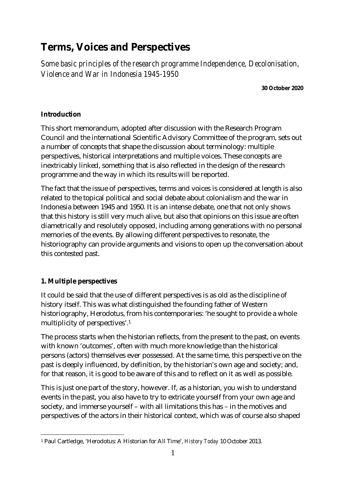# **Terms, Voices and Perspectives**

*Some basic principles of the research programme Independence, Decolonisation, Violence and War in Indonesia 1945-1950*

**30 October 2020**

## **Introduction**

This short memorandum, adopted after discussion with the Research Program Council and the international Scientific Advisory Committee of the program, sets out a number of concepts that shape the discussion about terminology: multiple perspectives, historical interpretations and multiple voices. These concepts are inextricably linked, something that is also reflected in the design of the research programme and the way in which its results will be reported.

The fact that the issue of perspectives, terms and voices is considered at length is also related to the topical political and social debate about colonialism and the war in Indonesia between 1945 and 1950. It is an intense debate, one that not only shows that this history is still very much alive, but also that opinions on this issue are often diametrically and resolutely opposed, including among generations with no personal memories of the events. By allowing different perspectives to resonate, the historiography can provide arguments and visions to open up the conversation about this contested past.

## **1. Multiple perspectives**

It could be said that the use of different perspectives is as old as the discipline of history itself. This was what distinguished the founding father of Western historiography, Herodotus, from his contemporaries: 'he sought to provide a whole multiplicity of perspectives'.<sup>1</sup>

The process starts when the historian reflects, from the present to the past, on events with known 'outcomes', often with much more knowledge than the historical persons (actors) themselves ever possessed. At the same time, this perspective on the past is deeply influenced, by definition, by the historian's own age and society; and, for that reason, it is good to be aware of this and to reflect on it as well as possible.

This is just one part of the story, however. If, as a historian, you wish to understand events in the past, you also have to try to extricate yourself from your own age and society, and immerse yourself – with all limitations this has – in the motives and perspectives of the actors in their historical context, which was of course also shaped

<sup>1</sup> Paul Cartledge, 'Herodotus: A Historian for All Time', *History Today* 10 October 2013.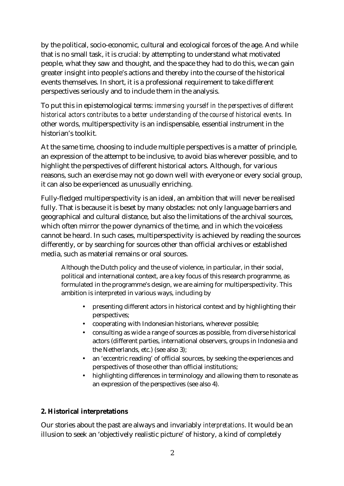by the political, socio-economic, cultural and ecological forces of the age. And while that is no small task, it is crucial: by attempting to understand what motivated people, what they saw and thought, and the space they had to do this, we can gain greater insight into people's actions and thereby into the course of the historical events themselves. In short, it is a professional requirement to take different perspectives seriously and to include them in the analysis.

To put this in epistemological terms: *immersing yourself in the perspectives of different historical actors contributes to a better understanding of the course of historical events.* In other words, multiperspectivity is an indispensable, essential instrument in the historian's toolkit.

At the same time, choosing to include multiple perspectives is a matter of principle, an expression of the attempt to be inclusive, to avoid bias wherever possible, and to highlight the perspectives of different historical actors. Although, for various reasons, such an exercise may not go down well with everyone or every social group, it can also be experienced as unusually enriching.

Fully-fledged multiperspectivity is an ideal, an ambition that will never be realised fully. That is because it is beset by many obstacles: not only language barriers and geographical and cultural distance, but also the limitations of the archival sources, which often mirror the power dynamics of the time, and in which the voiceless cannot be heard. In such cases, multiperspectivity is achieved by reading the sources differently, or by searching for sources other than official archives or established media, such as material remains or oral sources.

Although the Dutch policy and the use of violence, in particular, in their social, political and international context, are a key focus of this research programme, as formulated in the programme's design, we are aiming for multiperspectivity. This ambition is interpreted in various ways, including by

- presenting different actors in historical context and by highlighting their perspectives;
- cooperating with Indonesian historians, wherever possible;
- consulting as wide a range of sources as possible, from diverse historical  $\mathcal{L}^{\mathcal{L}}$ actors (different parties, international observers, groups in Indonesia and the Netherlands, etc.) (see also 3);
- an 'eccentric reading' of official sources, by seeking the experiences and perspectives of those other than official institutions;
- highlighting differences in terminology and allowing them to resonate as an expression of the perspectives (see also 4).

#### **2. Historical interpretations**

Our stories about the past are always and invariably *interpretations*. It would be an illusion to seek an 'objectively realistic picture' of history, a kind of completely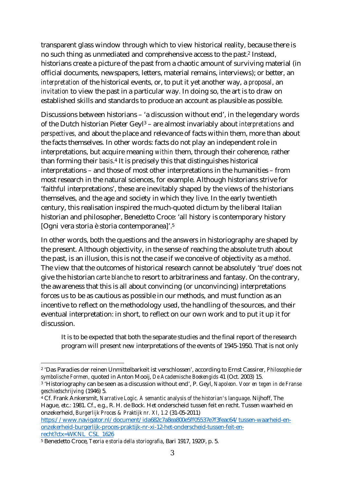transparent glass window through which to view historical reality, because there is no such thing as unmediated and comprehensive access to the past.<sup>2</sup> Instead, historians create a picture of the past from a chaotic amount of surviving material (in official documents, newspapers, letters, material remains, interviews); or better, an *interpretation* of the historical events, or, to put it yet another way, a *proposal*, an *invitation* to view the past in a particular way*.* In doing so, the art is to draw on established skills and standards to produce an account as plausible as possible.

Discussions between historians – 'a discussion without end', in the legendary words of the Dutch historian Pieter Geyl<sup>3</sup> – are almost invariably about *interpretations* and *perspectives,* and about the place and relevance of facts within them, more than about the facts themselves. In other words: facts do not play an independent role in interpretations, but acquire meaning *within* them, through their coherence, rather than forming their *basis*.<sup>4</sup> It is precisely this that distinguishes historical interpretations – and those of most other interpretations in the humanities – from most research in the natural sciences, for example. Although historians strive for 'faithful interpretations', these are inevitably shaped by the views of the historians themselves, and the age and society in which they live. In the early twentieth century, this realisation inspired the much-quoted dictum by the liberal Italian historian and philosopher, Benedetto Croce: 'all history is contemporary history [Ogni vera storia è storia contemporanea]'.<sup>5</sup>

In other words, both the questions and the answers in historiography are shaped by the present. Although objectivity, in the sense of reaching the absolute truth about the past, is an illusion, this is not the case if we conceive of objectivity as a *method*. The view that the outcomes of historical research cannot be absolutely 'true' does not give the historian *carte blanche* to resort to arbitrariness and fantasy. On the contrary, the awareness that this is all about convincing (or unconvincing) interpretations forces us to be as cautious as possible in our methods, and must function as an incentive to reflect on the methodology used, the handling of the sources, and their eventual interpretation: in short, to reflect on our own work and to put it up it for discussion.

It is to be expected that both the separate studies and the final report of the research program will present new interpretations of the events of 1945-1950. That is not only

https://www.navigator.nl/document/ida682c7a8ea800e5ff05537e7f3feac64/tussen-waarheid-enonzekerheid-burgerlijk-proces-praktijk-nr-xi-12-het-onderscheid-tussen-feit-enrecht?ctx=WKNL\_CSL\_1626

<sup>2</sup> 'Das Paradies der reinen Unmittelbarkeit ist verschlossen', according to Ernst Cassirer, *Philosophie der symbolische Formen,* quoted in Anton Mooij, *De Academische Boekengids* 41 (Oct. 2003) 15.

<sup>3</sup> 'Historiography can be seen as a discussion without end', P. Geyl, *Napoleon. Voor en tegen in de Franse geschiedschrijving* (1946) 5.

<sup>4</sup> Cf. Frank Ankersmit, *Narrative Logic. A semantic analysis of the historian's language*. Nijhoff, The Hague, etc.: 1981. Cf., e.g., R. H. de Bock. Het onderscheid tussen feit en recht. Tussen waarheid en onzekerheid, *Burgerlijk Proces & Praktijk nr. XI, 1.2* (31-05-2011)

<sup>5</sup> Benedetto Croce, *Teoria e storia della storiografia*, Bari 1917, 19202, p. 5.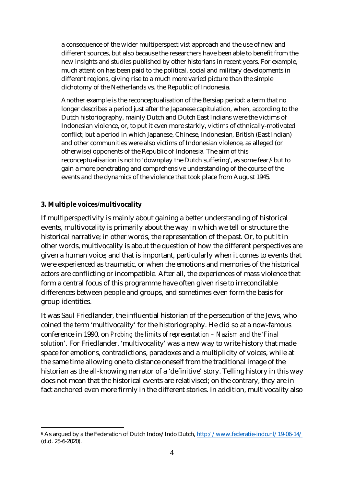a consequence of the wider multiperspectivist approach and the use of new and different sources, but also because the researchers have been able to benefit from the new insights and studies published by other historians in recent years. For example, much attention has been paid to the political, social and military developments in different regions, giving rise to a much more varied picture than the simple dichotomy of the Netherlands vs. the Republic of Indonesia.

Another example is the reconceptualisation of the Bersiap period: a term that no longer describes a period just after the Japanese capitulation, when, according to the Dutch historiography, mainly Dutch and Dutch East Indians were the victims of Indonesian violence, or, to put it even more starkly, victims of ethnically-motivated conflict; but a period in which Japanese, Chinese, Indonesian, British (East Indian) and other communities were also victims of Indonesian violence, as alleged (or otherwise) opponents of the Republic of Indonesia. The aim of this reconceptualisation is not to 'downplay the Dutch suffering', as some fear,<sup>6</sup> but to gain a more penetrating and comprehensive understanding of the course of the events and the dynamics of the violence that took place from August 1945.

#### **3. Multiple voices/multivocality**

If multiperspectivity is mainly about gaining a better understanding of historical events, multivocality is primarily about the way in which we tell or structure the historical narrative; in other words, the representation of the past. Or, to put it in other words, multivocality is about the question of how the different perspectives are given a human voice; and that is important, particularly when it comes to events that were experienced as traumatic, or when the emotions and memories of the historical actors are conflicting or incompatible. After all, the experiences of mass violence that form a central focus of this programme have often given rise to irreconcilable differences between people and groups, and sometimes even form the basis for group identities.

It was Saul Friedlander, the influential historian of the persecution of the Jews, who coined the term 'multivocality' for the historiography. He did so at a now-famous conference in 1990, on *Probing the limits of representation – Nazism and the 'Final solution'.* For Friedlander, 'multivocality' was a new way to write history that made space for emotions, contradictions, paradoxes and a multiplicity of voices, while at the same time allowing one to distance oneself from the traditional image of the historian as the all-knowing narrator of a 'definitive' story. Telling history in this way does not mean that the historical events are relativised; on the contrary, they are in fact anchored even more firmly in the different stories. In addition, multivocality also

<sup>6</sup> As argued by a the Federation of Dutch Indos/Indo Dutch, http://www.federatie-indo.nl/19-06-14/ (d.d. 25-6-2020).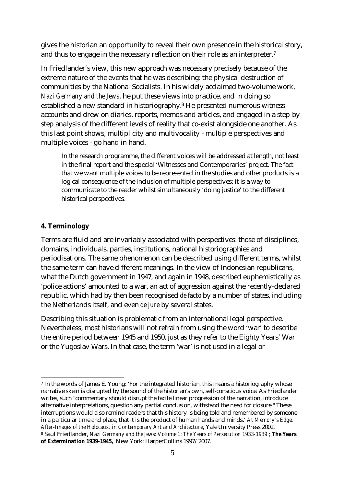gives the historian an opportunity to reveal their own presence in the historical story, and thus to engage in the necessary reflection on their role as an interpreter.<sup>7</sup>

In Friedlander's view, this new approach was necessary precisely because of the extreme nature of the events that he was describing: the physical destruction of communities by the National Socialists. In his widely acclaimed two-volume work, *Nazi Germany and the Jews*, he put these views into practice, and in doing so established a new standard in historiography.<sup>8</sup> He presented numerous witness accounts and drew on diaries, reports, memos and articles, and engaged in a step-bystep analysis of the different levels of reality that co-exist alongside one another. As this last point shows, multiplicity and multivocality - multiple perspectives and multiple voices - go hand in hand.

In the research programme, the different voices will be addressed at length, not least in the final report and the special 'Witnesses and Contemporaries' project. The fact that we want multiple voices to be represented in the studies and other products is a logical consequence of the inclusion of multiple perspectives: it is a way to communicate to the reader whilst simultaneously 'doing justice' to the different historical perspectives.

## **4. Terminology**

Terms are fluid and are invariably associated with perspectives: those of disciplines, domains, individuals, parties, institutions, national historiographies and periodisations. The same phenomenon can be described using different terms, whilst the same term can have different meanings. In the view of Indonesian republicans, what the Dutch government in 1947, and again in 1948, described euphemistically as 'police actions' amounted to a war, an act of aggression against the recently-declared republic, which had by then been recognised *de facto* by a number of states, including the Netherlands itself, and even *de jure* by several states.

Describing this situation is problematic from an international legal perspective. Nevertheless, most historians will not refrain from using the word 'war' to describe the entire period between 1945 and 1950, just as they refer to the Eighty Years' War or the Yugoslav Wars. In that case, the term 'war' is not used in a legal or

<sup>7</sup> In the words of James E. Young: 'For the integrated historian, this means a historiography whose narrative skein is disrupted by the sound of the historian's own, self-conscious voice. As Friedlander writes, such "commentary should disrupt the facile linear progression of the narration, introduce alternative interpretations, question any partial conclusion, withstand the need for closure." These interruptions would also remind readers that this history is being told and remembered by someone in a particular time and place, that it is the product of human hands and minds.' *At Memory's Edge. After-Images of the Holocaust in Contemporary Art and Architecture*, Yale University Press 2002. <sup>8</sup> Saul Friedlander, *Nazi Germany and the Jews: Volume 1: The Years of Persecution 1933-1939 ; The Years of Extermination 1939-1945,* New York: HarperCollins 1997/2007.